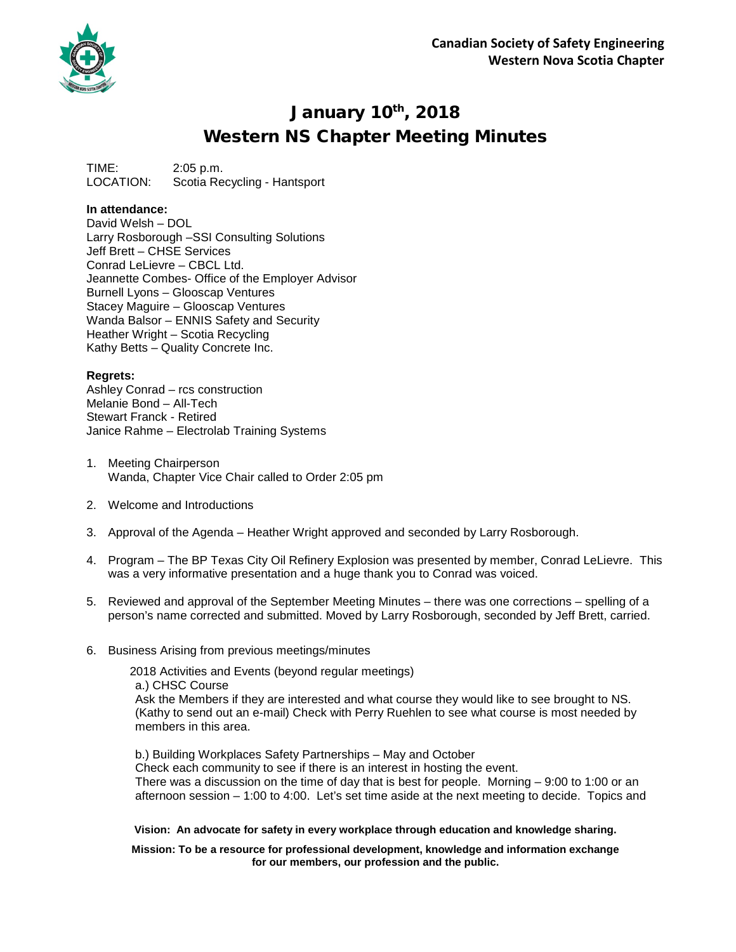

## January 10th, 2018 Western NS Chapter Meeting Minutes

TIME: 2:05 p.m. LOCATION: Scotia Recycling - Hantsport

## **In attendance:**

David Welsh – DOL Larry Rosborough –SSI Consulting Solutions Jeff Brett – CHSE Services Conrad LeLievre – CBCL Ltd. Jeannette Combes- Office of the Employer Advisor Burnell Lyons – Glooscap Ventures Stacey Maguire – Glooscap Ventures Wanda Balsor – ENNIS Safety and Security Heather Wright – Scotia Recycling Kathy Betts – Quality Concrete Inc.

## **Regrets:**

Ashley Conrad – rcs construction Melanie Bond – All-Tech Stewart Franck - Retired Janice Rahme – Electrolab Training Systems

- 1. Meeting Chairperson Wanda, Chapter Vice Chair called to Order 2:05 pm
- 2. Welcome and Introductions
- 3. Approval of the Agenda Heather Wright approved and seconded by Larry Rosborough.
- 4. Program The BP Texas City Oil Refinery Explosion was presented by member, Conrad LeLievre. This was a very informative presentation and a huge thank you to Conrad was voiced.
- 5. Reviewed and approval of the September Meeting Minutes there was one corrections spelling of a person's name corrected and submitted. Moved by Larry Rosborough, seconded by Jeff Brett, carried.
- 6. Business Arising from previous meetings/minutes

2018 Activities and Events (beyond regular meetings) a.) CHSC Course Ask the Members if they are interested and what course they would like to see brought to NS. (Kathy to send out an e-mail) Check with Perry Ruehlen to see what course is most needed by members in this area.

b.) Building Workplaces Safety Partnerships – May and October Check each community to see if there is an interest in hosting the event. There was a discussion on the time of day that is best for people. Morning  $-9:00$  to 1:00 or an afternoon session – 1:00 to 4:00. Let's set time aside at the next meeting to decide. Topics and

**Vision: An advocate for safety in every workplace through education and knowledge sharing.**

**Mission: To be a resource for professional development, knowledge and information exchange for our members, our profession and the public.**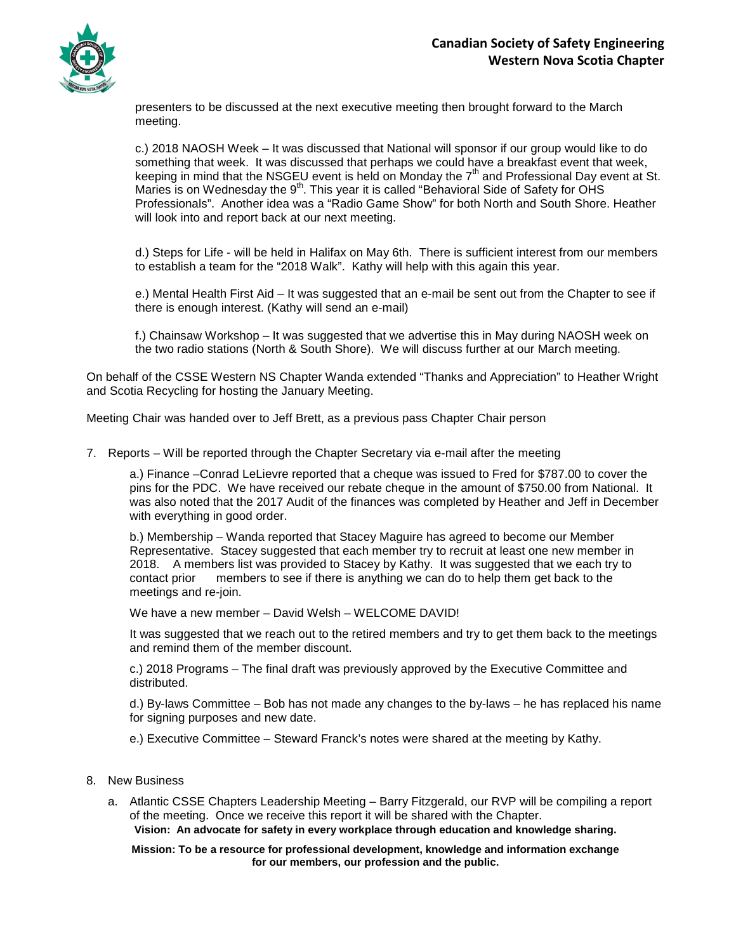

presenters to be discussed at the next executive meeting then brought forward to the March meeting.

c.) 2018 NAOSH Week – It was discussed that National will sponsor if our group would like to do something that week. It was discussed that perhaps we could have a breakfast event that week, keeping in mind that the NSGEU event is held on Monday the  $7<sup>th</sup>$  and Professional Day event at St. Maries is on Wednesday the 9<sup>th</sup>. This year it is called "Behavioral Side of Safety for OHS Professionals". Another idea was a "Radio Game Show" for both North and South Shore. Heather will look into and report back at our next meeting.

d.) Steps for Life - will be held in Halifax on May 6th. There is sufficient interest from our members to establish a team for the "2018 Walk". Kathy will help with this again this year.

e.) Mental Health First Aid – It was suggested that an e-mail be sent out from the Chapter to see if there is enough interest. (Kathy will send an e-mail)

f.) Chainsaw Workshop – It was suggested that we advertise this in May during NAOSH week on the two radio stations (North & South Shore). We will discuss further at our March meeting.

On behalf of the CSSE Western NS Chapter Wanda extended "Thanks and Appreciation" to Heather Wright and Scotia Recycling for hosting the January Meeting.

Meeting Chair was handed over to Jeff Brett, as a previous pass Chapter Chair person

7. Reports – Will be reported through the Chapter Secretary via e-mail after the meeting

a.) Finance –Conrad LeLievre reported that a cheque was issued to Fred for \$787.00 to cover the pins for the PDC. We have received our rebate cheque in the amount of \$750.00 from National. It was also noted that the 2017 Audit of the finances was completed by Heather and Jeff in December with everything in good order.

b.) Membership – Wanda reported that Stacey Maguire has agreed to become our Member Representative. Stacey suggested that each member try to recruit at least one new member in 2018. A members list was provided to Stacey by Kathy. It was suggested that we each try to contact prior members to see if there is anything we can do to help them get back to the meetings and re-join.

We have a new member – David Welsh – WELCOME DAVID!

It was suggested that we reach out to the retired members and try to get them back to the meetings and remind them of the member discount.

c.) 2018 Programs – The final draft was previously approved by the Executive Committee and distributed.

d.) By-laws Committee – Bob has not made any changes to the by-laws – he has replaced his name for signing purposes and new date.

e.) Executive Committee – Steward Franck's notes were shared at the meeting by Kathy.

- 8. New Business
	- a. Atlantic CSSE Chapters Leadership Meeting Barry Fitzgerald, our RVP will be compiling a report of the meeting. Once we receive this report it will be shared with the Chapter.

**Vision: An advocate for safety in every workplace through education and knowledge sharing.**

**Mission: To be a resource for professional development, knowledge and information exchange for our members, our profession and the public.**